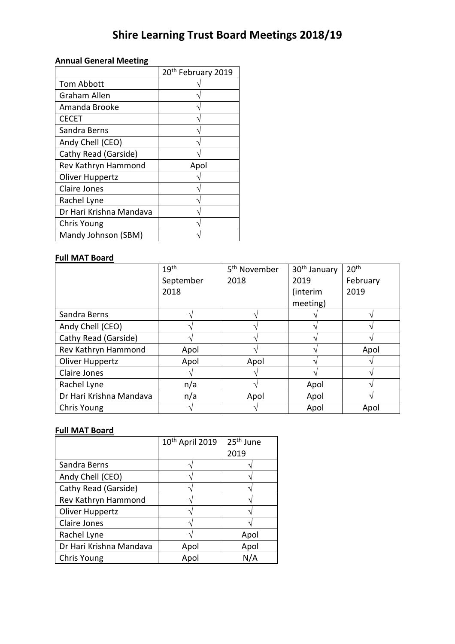# **Shire Learning Trust Board Meetings 2018/19**

## **Annual General Meeting**

|                         | 20 <sup>th</sup> February 2019 |
|-------------------------|--------------------------------|
| <b>Tom Abbott</b>       |                                |
| Graham Allen            |                                |
| Amanda Brooke           |                                |
| <b>CECET</b>            |                                |
| Sandra Berns            |                                |
| Andy Chell (CEO)        |                                |
| Cathy Read (Garside)    |                                |
| Rev Kathryn Hammond     | Apol                           |
| Oliver Huppertz         |                                |
| Claire Jones            |                                |
| Rachel Lyne             |                                |
| Dr Hari Krishna Mandava |                                |
| Chris Young             |                                |
| Mandy Johnson (SBM)     |                                |

#### **Full MAT Board**

|                         | 19 <sup>th</sup> | 5 <sup>th</sup> November | 30 <sup>th</sup> January | 20 <sup>th</sup> |
|-------------------------|------------------|--------------------------|--------------------------|------------------|
|                         | September        | 2018                     | 2019                     | February         |
|                         | 2018             |                          | (interim                 | 2019             |
|                         |                  |                          | meeting)                 |                  |
| Sandra Berns            |                  |                          |                          |                  |
| Andy Chell (CEO)        |                  |                          |                          |                  |
| Cathy Read (Garside)    |                  |                          |                          |                  |
| Rev Kathryn Hammond     | Apol             |                          |                          | Apol             |
| Oliver Huppertz         | Apol             | Apol                     |                          |                  |
| Claire Jones            |                  |                          |                          |                  |
| Rachel Lyne             | n/a              |                          | Apol                     |                  |
| Dr Hari Krishna Mandava | n/a              | Apol                     | Apol                     |                  |
| Chris Young             |                  |                          | Apol                     | Apol             |

#### **Full MAT Board**

|                         | 10 <sup>th</sup> April 2019 | 25 <sup>th</sup> June |
|-------------------------|-----------------------------|-----------------------|
|                         |                             | 2019                  |
| Sandra Berns            |                             |                       |
| Andy Chell (CEO)        |                             |                       |
| Cathy Read (Garside)    |                             |                       |
| Rev Kathryn Hammond     |                             |                       |
| Oliver Huppertz         |                             |                       |
| Claire Jones            |                             |                       |
| Rachel Lyne             |                             | Apol                  |
| Dr Hari Krishna Mandava | Apol                        | Apol                  |
| Chris Young             | Apol                        | N/A                   |